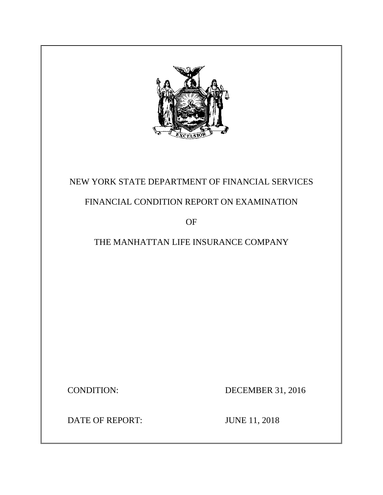

# NEW YORK STATE DEPARTMENT OF FINANCIAL SERVICES

# FINANCIAL CONDITION REPORT ON EXAMINATION

OF

# THE MANHATTAN LIFE INSURANCE COMPANY

CONDITION: DECEMBER 31, 2016

DATE OF REPORT: JUNE 11, 2018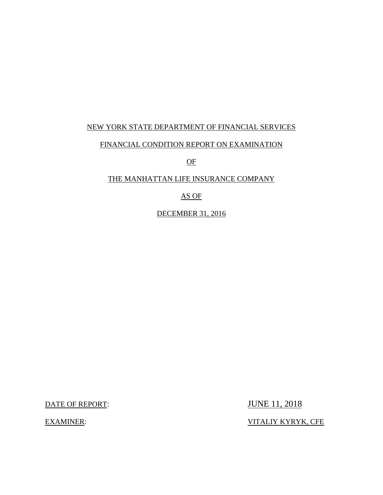## NEW YORK STATE DEPARTMENT OF FINANCIAL SERVICES

### FINANCIAL CONDITION REPORT ON EXAMINATION

OF

## THE MANHATTAN LIFE INSURANCE COMPANY

## AS OF

DECEMBER 31, 2016

DATE OF REPORT: JUNE 11, 2018

EXAMINER: VITALIY KYRYK, CFE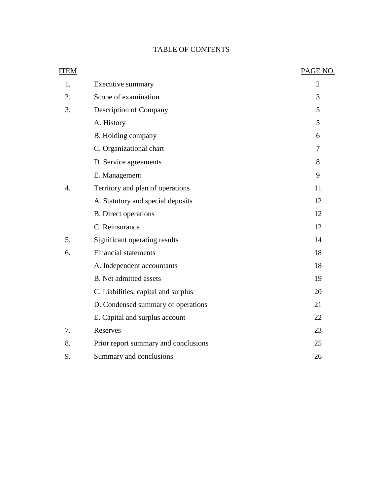# TABLE OF CONTENTS

| <b>ITEM</b> |                                      | PAGE NO.       |
|-------------|--------------------------------------|----------------|
| 1.          | Executive summary                    | $\overline{2}$ |
| 2.          | Scope of examination                 | 3              |
| 3.          | Description of Company               | 5              |
|             | A. History                           | 5              |
|             | B. Holding company                   | 6              |
|             | C. Organizational chart              | 7              |
|             | D. Service agreements                | 8              |
|             | E. Management                        | 9              |
| 4.          | Territory and plan of operations     | 11             |
|             | A. Statutory and special deposits    | 12             |
|             | <b>B.</b> Direct operations          | 12             |
|             | C. Reinsurance                       | 12             |
| 5.          | Significant operating results        | 14             |
| 6.          | <b>Financial statements</b>          | 18             |
|             | A. Independent accountants           | 18             |
|             | <b>B.</b> Net admitted assets        | 19             |
|             | C. Liabilities, capital and surplus  | 20             |
|             | D. Condensed summary of operations   | 21             |
|             | E. Capital and surplus account       | 22             |
| 7.          | Reserves                             | 23             |
| 8.          | Prior report summary and conclusions | 25             |
| 9.          | Summary and conclusions              | 26             |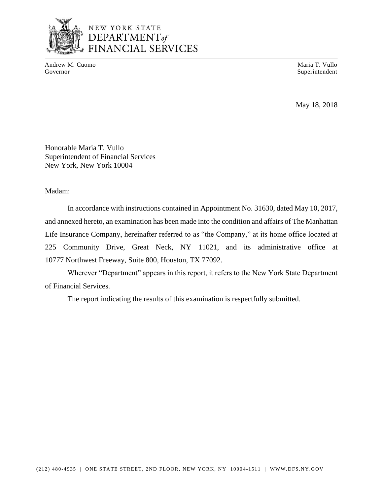

# NEW YORK STATE DEPARTMENT<sub>of</sub> FINANCIAL SERVICES

Andrew M. Cuomo **Maria T. Vullo** Maria T. Vullo Governor Superintendent Superintendent Superintendent Superintendent Superintendent Superintendent Superintendent Superintendent Superintendent Superintendent Superintendent Superintendent Superintendent Superintendent Sup

May 18, 2018

Honorable Maria T. Vullo Superintendent of Financial Services New York, New York 10004

Madam:

 In accordance with instructions contained in Appointment No. 31630, dated May 10, 2017, Life Insurance Company, hereinafter referred to as "the Company," at its home office located at 225 Community Drive, Great Neck, NY 11021, and its administrative office at and annexed hereto, an examination has been made into the condition and affairs of The Manhattan 10777 Northwest Freeway, Suite 800, Houston, TX 77092.

 Wherever "Department" appears in this report, it refers to the New York State Department of Financial Services.

The report indicating the results of this examination is respectfully submitted.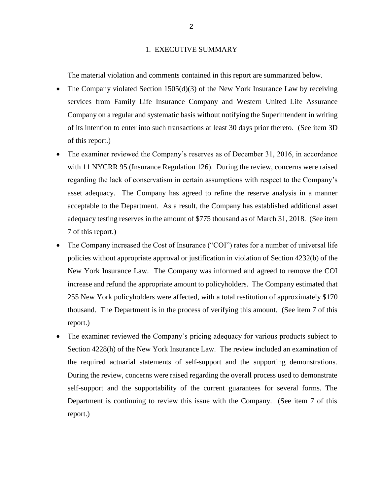#### 1. EXECUTIVE SUMMARY

The material violation and comments contained in this report are summarized below.

- The Company violated Section 1505(d)(3) of the New York Insurance Law by receiving services from Family Life Insurance Company and Western United Life Assurance Company on a regular and systematic basis without notifying the Superintendent in writing of its intention to enter into such transactions at least 30 days prior thereto. (See item 3D of this report.)
- • The examiner reviewed the Company's reserves as of December 31, 2016, in accordance regarding the lack of conservatism in certain assumptions with respect to the Company's asset adequacy. The Company has agreed to refine the reserve analysis in a manner adequacy testing reserves in the amount of \$775 thousand as of March 31, 2018. (See item with 11 NYCRR 95 (Insurance Regulation 126). During the review, concerns were raised acceptable to the Department. As a result, the Company has established additional asset 7 of this report.)
- The Company increased the Cost of Insurance ("COI") rates for a number of universal life policies without appropriate approval or justification in violation of Section 4232(b) of the New York Insurance Law. The Company was informed and agreed to remove the COI increase and refund the appropriate amount to policyholders. The Company estimated that thousand. The Department is in the process of verifying this amount. (See item 7 of this 255 New York policyholders were affected, with a total restitution of approximately \$170 report.)
- The examiner reviewed the Company's pricing adequacy for various products subject to self-support and the supportability of the current guarantees for several forms. The Department is continuing to review this issue with the Company. (See item 7 of this Section 4228(h) of the New York Insurance Law. The review included an examination of the required actuarial statements of self-support and the supporting demonstrations. During the review, concerns were raised regarding the overall process used to demonstrate report.)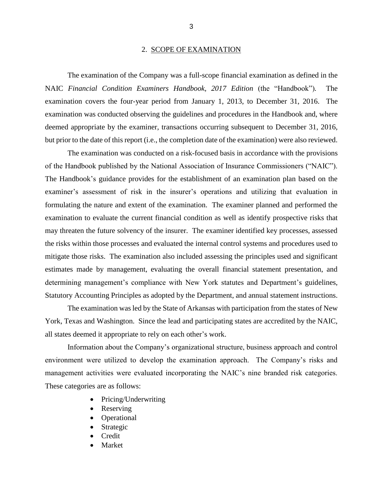### 2. SCOPE OF EXAMINATION

 examination covers the four-year period from January 1, 2013, to December 31, 2016. The deemed appropriate by the examiner, transactions occurring subsequent to December 31, 2016, but prior to the date of this report (i.e., the completion date of the examination) were also reviewed. The examination of the Company was a full-scope financial examination as defined in the NAIC *Financial Condition Examiners Handbook, 2017 Edition* (the "Handbook")*.* The examination was conducted observing the guidelines and procedures in the Handbook and, where

 examiner's assessment of risk in the insurer's operations and utilizing that evaluation in formulating the nature and extent of the examination. The examiner planned and performed the examination to evaluate the current financial condition as well as identify prospective risks that may threaten the future solvency of the insurer. The examiner identified key processes, assessed mitigate those risks. The examination also included assessing the principles used and significant estimates made by management, evaluating the overall financial statement presentation, and Statutory Accounting Principles as adopted by the Department, and annual statement instructions. The examination was conducted on a risk-focused basis in accordance with the provisions of the Handbook published by the National Association of Insurance Commissioners ("NAIC"). The Handbook's guidance provides for the establishment of an examination plan based on the the risks within those processes and evaluated the internal control systems and procedures used to determining management's compliance with New York statutes and Department's guidelines,

 The examination was led by the State of Arkansas with participation from the states of New York, Texas and Washington. Since the lead and participating states are accredited by the NAIC, all states deemed it appropriate to rely on each other's work.

 environment were utilized to develop the examination approach. The Company's risks and management activities were evaluated incorporating the NAIC's nine branded risk categories. Information about the Company's organizational structure, business approach and control These categories are as follows:

- Pricing/Underwriting
- Reserving
- **Operational**
- Strategic
- Credit
- **Market**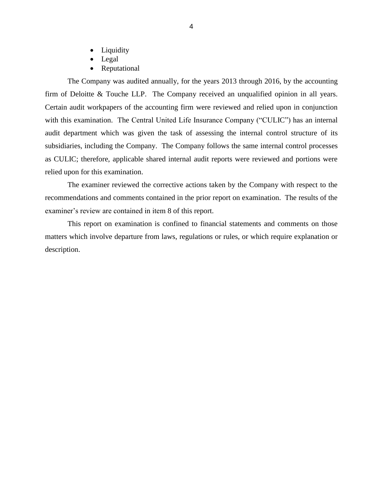- Liquidity
- Legal
- Reputational

 The Company was audited annually, for the years 2013 through 2016, by the accounting firm of Deloitte & Touche LLP. The Company received an unqualified opinion in all years. Certain audit workpapers of the accounting firm were reviewed and relied upon in conjunction with this examination. The Central United Life Insurance Company ("CULIC") has an internal audit department which was given the task of assessing the internal control structure of its subsidiaries, including the Company. The Company follows the same internal control processes as CULIC; therefore, applicable shared internal audit reports were reviewed and portions were relied upon for this examination.

 The examiner reviewed the corrective actions taken by the Company with respect to the recommendations and comments contained in the prior report on examination. The results of the examiner's review are contained in item 8 of this report.

 matters which involve departure from laws, regulations or rules, or which require explanation or This report on examination is confined to financial statements and comments on those description.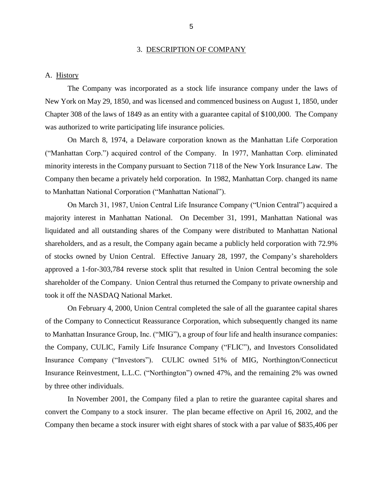#### 3. DESCRIPTION OF COMPANY

#### <span id="page-7-0"></span>A. History

 The Company was incorporated as a stock life insurance company under the laws of New York on May 29, 1850, and was licensed and commenced business on August 1, 1850, under Chapter 308 of the laws of 1849 as an entity with a guarantee capital of \$100,000. The Company was authorized to write participating life insurance policies.

 On March 8, 1974, a Delaware corporation known as the Manhattan Life Corporation minority interests in the Company pursuant to Section 7118 of the New York Insurance Law. The Company then became a privately held corporation. In 1982, Manhattan Corp. changed its name ("Manhattan Corp.") acquired control of the Company. In 1977, Manhattan Corp. eliminated to Manhattan National Corporation ("Manhattan National").

 On March 31, 1987, Union Central Life Insurance Company ("Union Central") acquired a majority interest in Manhattan National. On December 31, 1991, Manhattan National was liquidated and all outstanding shares of the Company were distributed to Manhattan National shareholders, and as a result, the Company again became a publicly held corporation with 72.9% of stocks owned by Union Central. Effective January 28, 1997, the Company's shareholders approved a 1-for-303,784 reverse stock split that resulted in Union Central becoming the sole shareholder of the Company. Union Central thus returned the Company to private ownership and took it off the NASDAQ National Market.

 On February 4, 2000, Union Central completed the sale of all the guarantee capital shares to Manhattan Insurance Group, Inc. ("MIG"), a group of four life and health insurance companies: the Company, CULIC, Family Life Insurance Company ("FLIC"), and Investors Consolidated Insurance Company ("Investors"). CULIC owned 51% of MIG, Northington/Connecticut Insurance Reinvestment, L.L.C. ("Northington") owned 47%, and the remaining 2% was owned of the Company to Connecticut Reassurance Corporation, which subsequently changed its name by three other individuals.

 In November 2001, the Company filed a plan to retire the guarantee capital shares and convert the Company to a stock insurer. The plan became effective on April 16, 2002, and the Company then became a stock insurer with eight shares of stock with a par value of \$835,406 per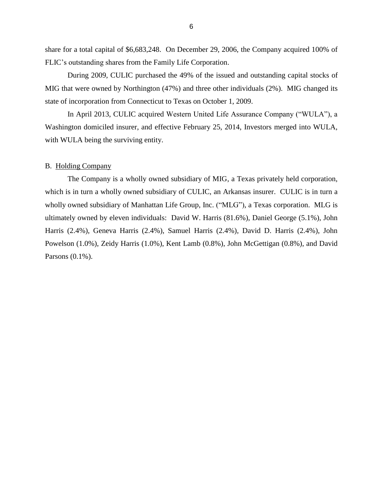<span id="page-8-0"></span> share for a total capital of \$6,683,248. On December 29, 2006, the Company acquired 100% of FLIC's outstanding shares from the Family Life Corporation.

During 2009, CULIC purchased the 49% of the issued and outstanding capital stocks of MIG that were owned by Northington (47%) and three other individuals (2%). MIG changed its state of incorporation from Connecticut to Texas on October 1, 2009.

 In April 2013, CULIC acquired Western United Life Assurance Company ("WULA"), a Washington domiciled insurer, and effective February 25, 2014, Investors merged into WULA, with WULA being the surviving entity.

### B. Holding Company

 The Company is a wholly owned subsidiary of MIG, a Texas privately held corporation, which is in turn a wholly owned subsidiary of CULIC, an Arkansas insurer. CULIC is in turn a ultimately owned by eleven individuals: David W. Harris (81.6%), Daniel George (5.1%), John wholly owned subsidiary of Manhattan Life Group, Inc. ("MLG"), a Texas corporation. MLG is Harris (2.4%), Geneva Harris (2.4%), Samuel Harris (2.4%), David D. Harris (2.4%), John Powelson (1.0%), Zeidy Harris (1.0%), Kent Lamb (0.8%), John McGettigan (0.8%), and David Parsons (0.1%).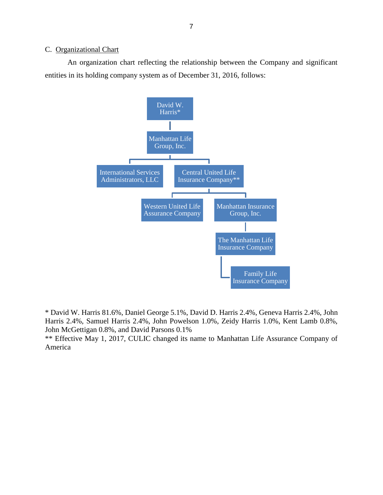### <span id="page-9-0"></span>C. Organizational Chart

 An organization chart reflecting the relationship between the Company and significant entities in its holding company system as of December 31, 2016, follows:



 Harris 2.4%, Samuel Harris 2.4%, John Powelson 1.0%, Zeidy Harris 1.0%, Kent Lamb 0.8%, \* David W. Harris 81.6%, Daniel George 5.1%, David D. Harris 2.4%, Geneva Harris 2.4%, John John McGettigan 0.8%, and David Parsons 0.1%

 \*\* Effective May 1, 2017, CULIC changed its name to Manhattan Life Assurance Company of America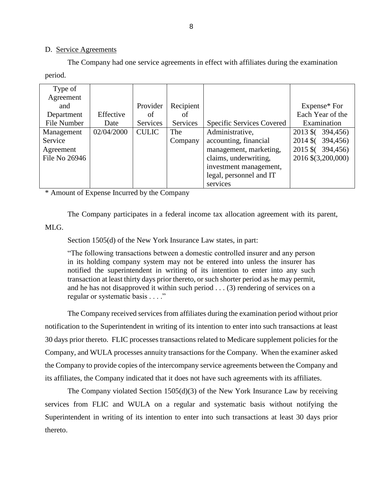#### D. Service Agreements

 The Company had one service agreements in effect with affiliates during the examination period.

| Type of       |            |              |           |                           |                                  |
|---------------|------------|--------------|-----------|---------------------------|----------------------------------|
| Agreement     |            |              |           |                           |                                  |
| and           |            | Provider     | Recipient |                           | Expense* For                     |
| Department    | Effective  | οf           | of        |                           | Each Year of the                 |
| File Number   | Date       | Services     | Services  | Specific Services Covered | Examination                      |
| Management    | 02/04/2000 | <b>CULIC</b> | The       | Administrative,           | $2013 \; \text{S}$ (<br>394,456) |
| Service       |            |              | Company   | accounting, financial     | 2014 \$ (394,456)                |
| Agreement     |            |              |           | management, marketing,    | 2015 \$ (394,456)                |
| File No 26946 |            |              |           | claims, underwriting,     | 2016 \$(3,200,000)               |
|               |            |              |           | investment management,    |                                  |
|               |            |              |           | legal, personnel and IT   |                                  |
|               |            |              |           | services                  |                                  |

\* Amount of Expense Incurred by the Company

The Company participates in a federal income tax allocation agreement with its parent,

MLG.

Section 1505(d) of the New York Insurance Law states, in part:

 "The following transactions between a domestic controlled insurer and any person in its holding company system may not be entered into unless the insurer has notified the superintendent in writing of its intention to enter into any such transaction at least thirty days prior thereto, or such shorter period as he may permit, and he has not disapproved it within such period . . . (3) rendering of services on a regular or systematic basis . . . ."

 The Company received services from affiliates during the examination period without prior notification to the Superintendent in writing of its intention to enter into such transactions at least 30 days prior thereto. FLIC processes transactions related to Medicare supplement policies for the the Company to provide copies of the intercompany service agreements between the Company and Company, and WULA processes annuity transactions for the Company. When the examiner asked its affiliates, the Company indicated that it does not have such agreements with its affiliates.

 The Company violated Section 1505(d)(3) of the New York Insurance Law by receiving services from FLIC and WULA on a regular and systematic basis without notifying the Superintendent in writing of its intention to enter into such transactions at least 30 days prior thereto.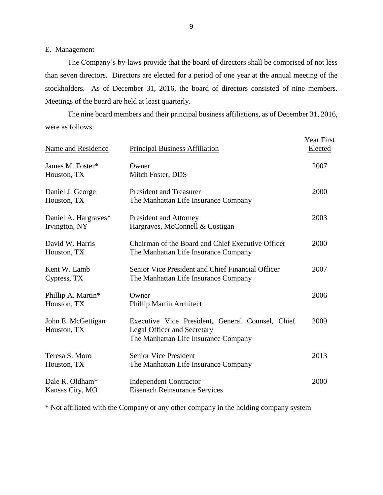### E. Management

 The Company's by-laws provide that the board of directors shall be comprised of not less than seven directors. Directors are elected for a period of one year at the annual meeting of the stockholders. As of December 31, 2016, the board of directors consisted of nine members. Meetings of the board are held at least quarterly.

 were as follows: The nine board members and their principal business affiliations, as of December 31, 2016,

| <b>Name and Residence</b>             | <b>Principal Business Affiliation</b>                                                                                          | <b>Year First</b><br>Elected |
|---------------------------------------|--------------------------------------------------------------------------------------------------------------------------------|------------------------------|
| James M. Foster*<br>Houston, TX       | Owner<br>Mitch Foster, DDS                                                                                                     | 2007                         |
| Daniel J. George<br>Houston, TX       | <b>President and Treasurer</b><br>The Manhattan Life Insurance Company                                                         | 2000                         |
| Daniel A. Hargraves*<br>Irvington, NY | President and Attorney<br>Hargraves, McConnell & Costigan                                                                      | 2003                         |
| David W. Harris<br>Houston, TX        | Chairman of the Board and Chief Executive Officer<br>The Manhattan Life Insurance Company                                      | 2000                         |
| Kent W. Lamb<br>Cypress, TX           | Senior Vice President and Chief Financial Officer<br>The Manhattan Life Insurance Company                                      | 2007                         |
| Phillip A. Martin*<br>Houston, TX     | Owner<br>Phillip Martin Architect                                                                                              | 2006                         |
| John E. McGettigan<br>Houston, TX     | Executive Vice President, General Counsel, Chief<br><b>Legal Officer and Secretary</b><br>The Manhattan Life Insurance Company | 2009                         |
| Teresa S. Moro<br>Houston, TX         | <b>Senior Vice President</b><br>The Manhattan Life Insurance Company                                                           | 2013                         |
| Dale R. Oldham*<br>Kansas City, MO    | <b>Independent Contractor</b><br><b>Eisenach Reinsurance Services</b>                                                          | 2000                         |

\* Not affiliated with the Company or any other company in the holding company system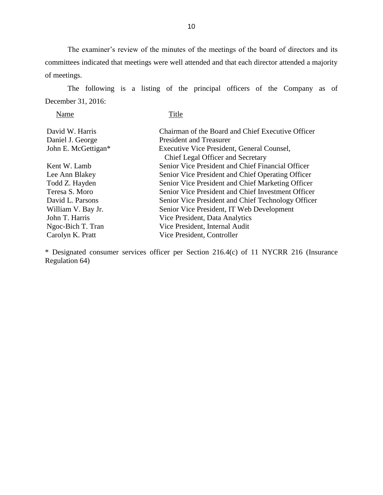committees indicated that meetings were well attended and that each director attended a majority The examiner's review of the minutes of the meetings of the board of directors and its of meetings.

 The following is a listing of the principal officers of the Company as of December 31, 2016:

Name Title

| Chairman of the Board and Chief Executive Officer<br>David W. Harris   |  |
|------------------------------------------------------------------------|--|
| Daniel J. George<br><b>President and Treasurer</b>                     |  |
| John E. McGettigan*<br>Executive Vice President, General Counsel,      |  |
| Chief Legal Officer and Secretary                                      |  |
| Senior Vice President and Chief Financial Officer<br>Kent W. Lamb      |  |
| Lee Ann Blakey<br>Senior Vice President and Chief Operating Officer    |  |
| Senior Vice President and Chief Marketing Officer<br>Todd Z. Hayden    |  |
| Teresa S. Moro<br>Senior Vice President and Chief Investment Officer   |  |
| David L. Parsons<br>Senior Vice President and Chief Technology Officer |  |
| William V. Bay Jr.<br>Senior Vice President, IT Web Development        |  |
| John T. Harris<br>Vice President, Data Analytics                       |  |
| Vice President, Internal Audit<br>Ngoc-Bich T. Tran                    |  |
| Carolyn K. Pratt<br>Vice President, Controller                         |  |

\* Designated consumer services officer per Section 216.4(c) of 11 NYCRR 216 (Insurance Regulation 64)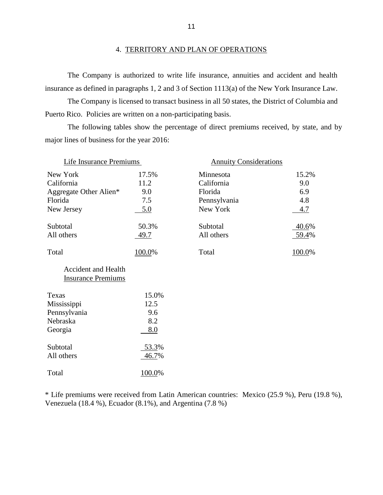<span id="page-13-0"></span> The Company is authorized to write life insurance, annuities and accident and health insurance as defined in paragraphs 1, 2 and 3 of Section 1113(a) of the New York Insurance Law.

 The Company is licensed to transact business in all 50 states, the District of Columbia and Puerto Rico. Policies are written on a non-participating basis.

 The following tables show the percentage of direct premiums received, by state, and by major lines of business for the year 2016:

| Life Insurance Premiums                                                   |                                    | <b>Annuity Considerations</b>                                  |                                   |
|---------------------------------------------------------------------------|------------------------------------|----------------------------------------------------------------|-----------------------------------|
| New York<br>California<br>Aggregate Other Alien*<br>Florida<br>New Jersey | 17.5%<br>11.2<br>9.0<br>7.5<br>5.0 | Minnesota<br>California<br>Florida<br>Pennsylvania<br>New York | 15.2%<br>9.0<br>6.9<br>4.8<br>4.7 |
| Subtotal<br>All others                                                    | 50.3%<br>49.7                      | Subtotal<br>All others                                         | 40.6%<br>59.4%                    |
| Total                                                                     | 100.0%                             | Total                                                          | 100.0%                            |
| <b>Accident and Health</b><br><b>Insurance Premiums</b>                   |                                    |                                                                |                                   |
| Texas<br>Mississippi<br>Pennsylvania<br>Nebraska<br>Georgia               | 15.0%<br>12.5<br>9.6<br>8.2<br>8.0 |                                                                |                                   |
| Subtotal<br>All others                                                    | 53.3%<br>46.7%                     |                                                                |                                   |
| Total                                                                     | 100.0%                             |                                                                |                                   |

\* Life premiums were received from Latin American countries: Mexico (25.9 %), Peru (19.8 %), Venezuela (18.4 %), Ecuador (8.1%), and Argentina (7.8 %)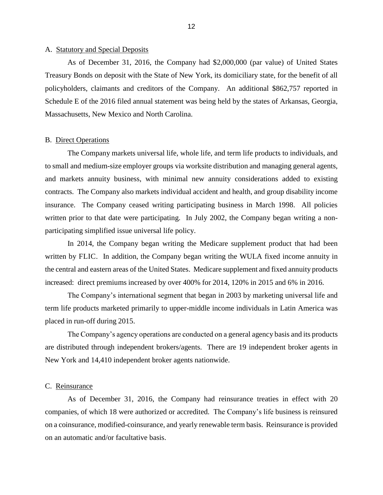#### <span id="page-14-0"></span>A. Statutory and Special Deposits

 Treasury Bonds on deposit with the State of New York, its domiciliary state, for the benefit of all Schedule E of the 2016 filed annual statement was being held by the states of Arkansas, Georgia, As of December 31, 2016, the Company had \$2,000,000 (par value) of United States policyholders, claimants and creditors of the Company. An additional \$862,757 reported in Massachusetts, New Mexico and North Carolina.

#### B. Direct Operations

 and markets annuity business, with minimal new annuity considerations added to existing contracts. The Company also markets individual accident and health, and group disability income insurance. The Company ceased writing participating business in March 1998. All policies written prior to that date were participating. In July 2002, the Company began writing a non-The Company markets universal life, whole life, and term life products to individuals, and to small and medium-size employer groups via worksite distribution and managing general agents, participating simplified issue universal life policy.

In 2014, the Company began writing the Medicare supplement product that had been written by FLIC. In addition, the Company began writing the WULA fixed income annuity in the central and eastern areas of the United States. Medicare supplement and fixed annuity products increased: direct premiums increased by over 400% for 2014, 120% in 2015 and 6% in 2016.

 term life products marketed primarily to upper-middle income individuals in Latin America was The Company's international segment that began in 2003 by marketing universal life and placed in run-off during 2015.

 are distributed through independent brokers/agents. There are 19 independent broker agents in The Company's agency operations are conducted on a general agency basis and its products New York and 14,410 independent broker agents nationwide.

#### C. Reinsurance

 As of December 31, 2016, the Company had reinsurance treaties in effect with 20 on a coinsurance, modified-coinsurance, and yearly renewable term basis. Reinsurance is provided companies, of which 18 were authorized or accredited. The Company's life business is reinsured on an automatic and/or facultative basis.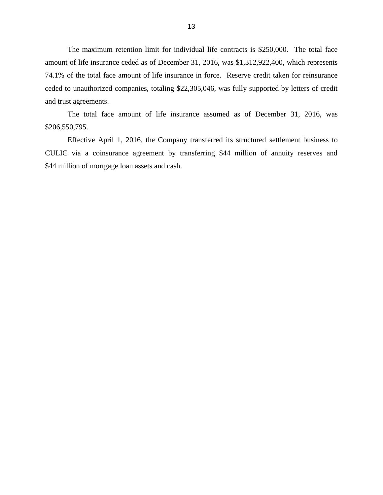The maximum retention limit for individual life contracts is \$250,000. The total face amount of life insurance ceded as of December 31, 2016, was \$1,312,922,400, which represents 74.1% of the total face amount of life insurance in force. Reserve credit taken for reinsurance ceded to unauthorized companies, totaling \$22,305,046, was fully supported by letters of credit and trust agreements.

 The total face amount of life insurance assumed as of December 31, 2016, was \$206,550,795.

 Effective April 1, 2016, the Company transferred its structured settlement business to CULIC via a coinsurance agreement by transferring \$44 million of annuity reserves and \$44 million of mortgage loan assets and cash.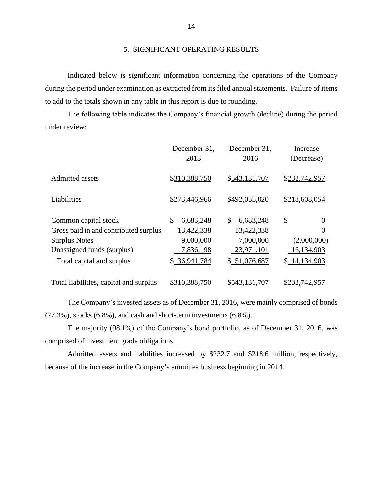#### 5. SIGNIFICANT OPERATING RESULTS

 during the period under examination as extracted from its filed annual statements. Failure of items Indicated below is significant information concerning the operations of the Company to add to the totals shown in any table in this report is due to rounding.

 The following table indicates the Company's financial growth (decline) during the period under review:

|                                        | December 31,<br>2013 | December 31,<br>2016 | Increase<br>(Decrease) |
|----------------------------------------|----------------------|----------------------|------------------------|
| Admitted assets                        | \$310,388,750        | \$543,131,707        | \$232,742,957          |
| Liabilities                            | \$273,446,966        | \$492,055,020        | \$218,608,054          |
| Common capital stock                   | \$<br>6,683,248      | \$<br>6,683,248      | \$<br>$\overline{0}$   |
| Gross paid in and contributed surplus  | 13,422,338           | 13,422,338           | $\Omega$               |
| <b>Surplus Notes</b>                   | 9,000,000            | 7,000,000            | (2,000,000)            |
| Unassigned funds (surplus)             | 7,836,198            | 23,971,101           | 16,134,903             |
| Total capital and surplus              | \$36,941,784         | \$51,076,687         | \$14,134,903           |
| Total liabilities, capital and surplus | \$310,388,750        | \$543,131,707        | \$232,742,957          |

 The Company's invested assets as of December 31, 2016, were mainly comprised of bonds (77.3%), stocks (6.8%), and cash and short-term investments (6.8%).

 The majority (98.1%) of the Company's bond portfolio, as of December 31, 2016, was comprised of investment grade obligations.

Admitted assets and liabilities increased by \$232.7 and \$218.6 million, respectively, because of the increase in the Company's annuities business beginning in 2014.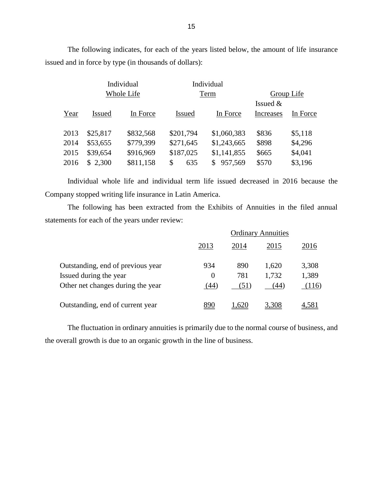The following indicates, for each of the years listed below, the amount of life insurance issued and in force by type (in thousands of dollars):

|      |            | Individual |               | Individual    |            |            |  |
|------|------------|------------|---------------|---------------|------------|------------|--|
|      | Whole Life |            |               | Term          |            | Group Life |  |
|      |            |            |               |               | Issued $&$ |            |  |
| Year | Issued     | In Force   | <b>Issued</b> | In Force      | Increases  | In Force   |  |
|      |            |            |               |               |            |            |  |
| 2013 | \$25,817   | \$832,568  | \$201,794     | \$1,060,383   | \$836      | \$5,118    |  |
| 2014 | \$53,655   | \$779,399  | \$271,645     | \$1,243,665   | \$898      | \$4,296    |  |
| 2015 | \$39,654   | \$916,969  | \$187,025     | \$1,141,855   | \$665      | \$4,041    |  |
| 2016 | \$2,300    | \$811,158  | 635<br>\$     | 957,569<br>S. | \$570      | \$3,196    |  |
|      |            |            |               |               |            |            |  |

 Individual whole life and individual term life issued decreased in 2016 because the Company stopped writing life insurance in Latin America.

 The following has been extracted from the Exhibits of Annuities in the filed annual statements for each of the years under review:

|                                   | <b>Ordinary Annuities</b> |      |       |       |
|-----------------------------------|---------------------------|------|-------|-------|
|                                   | 2013                      | 2014 | 2015  | 2016  |
| Outstanding, end of previous year | 934                       | 890  | 1,620 | 3,308 |
| Issued during the year            | $\Omega$                  | 781  | 1,732 | 1,389 |
| Other net changes during the year | (44)                      | (51) | (44)  | (116) |
| Outstanding, end of current year  | 890                       | .620 | 3,308 |       |

 The fluctuation in ordinary annuities is primarily due to the normal course of business, and the overall growth is due to an organic growth in the line of business.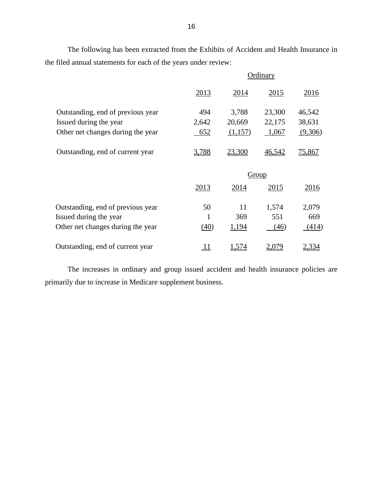The following has been extracted from the Exhibits of Accident and Health Insurance in the filed annual statements for each of the years under review:

|                                   |            |         | Ordinary |               |
|-----------------------------------|------------|---------|----------|---------------|
|                                   | 2013       | 2014    | 2015     | 2016          |
| Outstanding, end of previous year | 494        | 3,788   | 23,300   | 46,542        |
| Issued during the year            | 2,642      | 20,669  | 22,175   | 38,631        |
| Other net changes during the year | $-652$     | (1,157) | $-1,067$ | (9,306)       |
| Outstanding, end of current year  | 3,788      | 23,300  | 46,542   | <u>75,867</u> |
|                                   |            |         | Group    |               |
|                                   | 2013       | 2014    | 2015     | 2016          |
| Outstanding, end of previous year | 50         | 11      | 1,574    | 2,079         |
| Issued during the year            | 1          | 369     | 551      | 669           |
| Other net changes during the year | (40)       | 1,194   | (46)     | (414)         |
| Outstanding, end of current year  | <u> 11</u> | 1,574   | 2,079    | 2,334         |

 The increases in ordinary and group issued accident and health insurance policies are primarily due to increase in Medicare supplement business.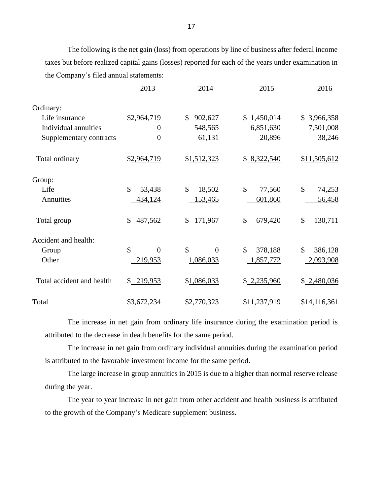The following is the net gain (loss) from operations by line of business after federal income taxes but before realized capital gains (losses) reported for each of the years under examination in the Company's filed annual statements:

|                           | 2013                            | 2014                    | 2015                      | 2016                     |
|---------------------------|---------------------------------|-------------------------|---------------------------|--------------------------|
| Ordinary:                 |                                 |                         |                           |                          |
| Life insurance            | \$2,964,719                     | \$<br>902,627           | 1,450,014<br>$\mathbb{S}$ | 3,966,358<br>\$          |
| Individual annuities      | $\overline{0}$                  | 548,565                 | 6,851,630                 | 7,501,008                |
| Supplementary contracts   | $\boldsymbol{0}$                | 61,131                  | 20,896                    | 38,246                   |
| Total ordinary            | \$2,964,719                     | \$1,512,323             | \$8,322,540               | \$11,505,612             |
| Group:                    |                                 |                         |                           |                          |
| Life                      | $\mathcal{S}$<br>53,438         | $\mathcal{S}$<br>18,502 | $\mathcal{S}$<br>77,560   | \$<br>74,253             |
| Annuities                 | 434,124                         | 153,465                 | 601,860                   | 56,458                   |
| Total group               | $\mathcal{S}$<br>487,562        | \$<br>171,967           | $\mathcal{S}$<br>679,420  | $\mathcal{S}$<br>130,711 |
| Accident and health:      |                                 |                         |                           |                          |
| Group                     | $\mathcal{S}$<br>$\overline{0}$ | \$<br>$\theta$          | $\mathcal{S}$<br>378,188  | $\mathcal{S}$<br>386,128 |
| Other                     | 219,953                         | 1,086,033               | 1,857,772                 | 2,093,908                |
| Total accident and health | \$219,953                       | \$1,086,033             | \$2,235,960               | \$2,480,036              |
| Total                     | \$3,672,234                     | \$2,770,323             | \$11,237,919              | \$14,116,361             |

 The increase in net gain from ordinary life insurance during the examination period is attributed to the decrease in death benefits for the same period.

 The increase in net gain from ordinary individual annuities during the examination period is attributed to the favorable investment income for the same period.

 The large increase in group annuities in 2015 is due to a higher than normal reserve release during the year.

 The year to year increase in net gain from other accident and health business is attributed to the growth of the Company's Medicare supplement business.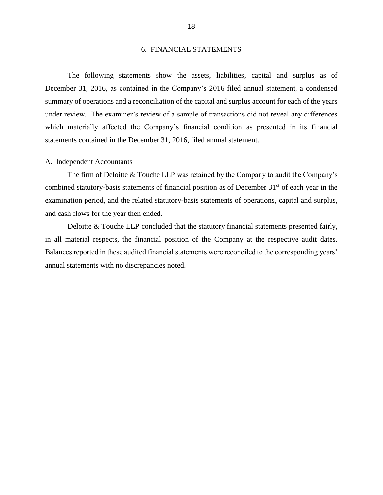#### 6. FINANCIAL STATEMENTS

<span id="page-20-0"></span> The following statements show the assets, liabilities, capital and surplus as of December 31, 2016, as contained in the Company's 2016 filed annual statement, a condensed summary of operations and a reconciliation of the capital and surplus account for each of the years under review. The examiner's review of a sample of transactions did not reveal any differences which materially affected the Company's financial condition as presented in its financial statements contained in the December 31, 2016, filed annual statement.

#### A. Independent Accountants

 The firm of Deloitte & Touche LLP was retained by the Company to audit the Company's combined statutory-basis statements of financial position as of December 31<sup>st</sup> of each year in the examination period, and the related statutory-basis statements of operations, capital and surplus, and cash flows for the year then ended.

 Deloitte & Touche LLP concluded that the statutory financial statements presented fairly, in all material respects, the financial position of the Company at the respective audit dates. Balances reported in these audited financial statements were reconciled to the corresponding years' annual statements with no discrepancies noted.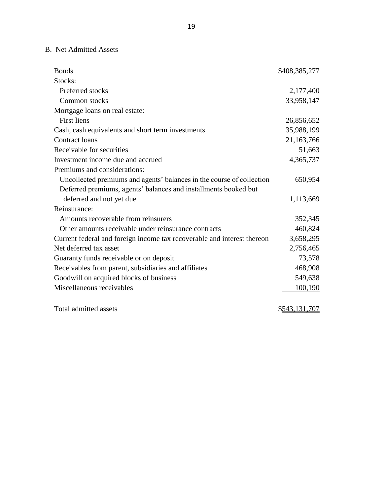# B. Net Admitted Assets

| <b>Bonds</b>                                                            | \$408,385,277 |
|-------------------------------------------------------------------------|---------------|
| Stocks:                                                                 |               |
| Preferred stocks                                                        | 2,177,400     |
| Common stocks                                                           | 33,958,147    |
| Mortgage loans on real estate:                                          |               |
| <b>First liens</b>                                                      | 26,856,652    |
| Cash, cash equivalents and short term investments                       | 35,988,199    |
| Contract loans                                                          | 21,163,766    |
| Receivable for securities                                               | 51,663        |
| Investment income due and accrued                                       | 4,365,737     |
| Premiums and considerations:                                            |               |
| Uncollected premiums and agents' balances in the course of collection   | 650,954       |
| Deferred premiums, agents' balances and installments booked but         |               |
| deferred and not yet due                                                | 1,113,669     |
| Reinsurance:                                                            |               |
| Amounts recoverable from reinsurers                                     | 352,345       |
| Other amounts receivable under reinsurance contracts                    | 460,824       |
| Current federal and foreign income tax recoverable and interest thereon | 3,658,295     |
| Net deferred tax asset                                                  | 2,756,465     |
| Guaranty funds receivable or on deposit                                 | 73,578        |
| Receivables from parent, subsidiaries and affiliates                    | 468,908       |
| Goodwill on acquired blocks of business                                 | 549,638       |
| Miscellaneous receivables                                               | 100,190       |
|                                                                         |               |
| Total admitted assets                                                   | \$543,131,707 |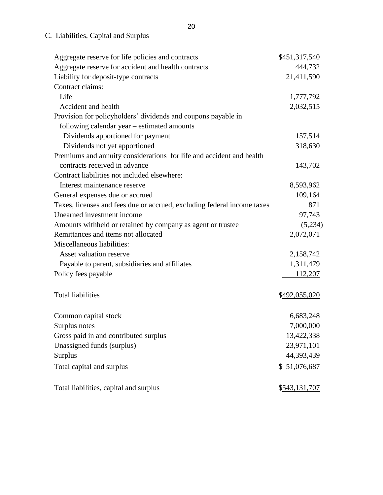# C. Liabilities, Capital and Surplus

| Aggregate reserve for life policies and contracts                       | \$451,317,540 |
|-------------------------------------------------------------------------|---------------|
| Aggregate reserve for accident and health contracts                     | 444,732       |
| Liability for deposit-type contracts                                    | 21,411,590    |
| Contract claims:                                                        |               |
| Life                                                                    | 1,777,792     |
| Accident and health                                                     | 2,032,515     |
| Provision for policyholders' dividends and coupons payable in           |               |
| following calendar year – estimated amounts                             |               |
| Dividends apportioned for payment                                       | 157,514       |
| Dividends not yet apportioned                                           | 318,630       |
| Premiums and annuity considerations for life and accident and health    |               |
| contracts received in advance                                           | 143,702       |
| Contract liabilities not included elsewhere:                            |               |
| Interest maintenance reserve                                            | 8,593,962     |
| General expenses due or accrued                                         | 109,164       |
| Taxes, licenses and fees due or accrued, excluding federal income taxes | 871           |
| Unearned investment income                                              | 97,743        |
| Amounts withheld or retained by company as agent or trustee             | (5,234)       |
| Remittances and items not allocated                                     | 2,072,071     |
| Miscellaneous liabilities:                                              |               |
| Asset valuation reserve                                                 | 2,158,742     |
| Payable to parent, subsidiaries and affiliates                          | 1,311,479     |
| Policy fees payable                                                     | 112,207       |
|                                                                         |               |
| <b>Total liabilities</b>                                                | \$492,055,020 |
|                                                                         |               |
| Common capital stock                                                    | 6,683,248     |
| Surplus notes                                                           | 7,000,000     |
| Gross paid in and contributed surplus                                   | 13,422,338    |
| Unassigned funds (surplus)                                              | 23,971,101    |
| <b>Surplus</b>                                                          | 44,393,439    |
| Total capital and surplus                                               | \$ 51,076,687 |
|                                                                         |               |
| Total liabilities, capital and surplus                                  | \$543,131,707 |
|                                                                         |               |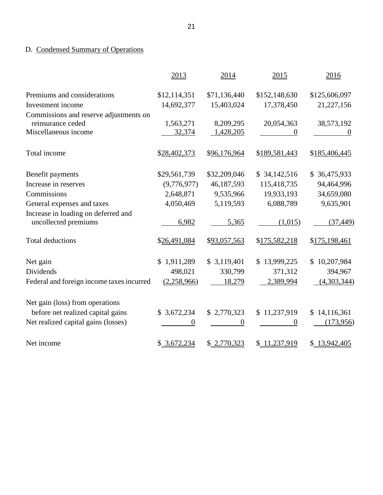# D. Condensed Summary of Operations

|                                                             | 2013         | 2014                   | 2015          | 2016          |
|-------------------------------------------------------------|--------------|------------------------|---------------|---------------|
| Premiums and considerations                                 | \$12,114,351 | \$71,136,440           | \$152,148,630 | \$125,606,097 |
| Investment income                                           | 14,692,377   | 15,403,024             | 17,378,450    | 21,227,156    |
| Commissions and reserve adjustments on<br>reinsurance ceded | 1,563,271    |                        | 20,054,363    | 38,573,192    |
| Miscellaneous income                                        | 32,374       | 8,209,295<br>1,428,205 | 0             | $\theta$      |
| Total income                                                | \$28,402,373 | \$96,176,964           | \$189,581,443 | \$185,406,445 |
| Benefit payments                                            | \$29,561,739 | \$32,209,046           | \$34,142,516  | \$36,475,933  |
| Increase in reserves                                        | (9,776,977)  | 46,187,593             | 115,418,735   | 94,464,996    |
| Commissions                                                 | 2,648,871    | 9,535,966              | 19,933,193    | 34,659,080    |
| General expenses and taxes                                  | 4,050,469    | 5,119,593              | 6,088,789     | 9,635,901     |
| Increase in loading on deferred and                         |              |                        |               |               |
| uncollected premiums                                        | 6,982        | 5,365                  | (1,015)       | (37, 449)     |
| <b>Total deductions</b>                                     | \$26,491,084 | \$93,057,563           | \$175,582,218 | \$175,198,461 |
| Net gain                                                    | \$1,911,289  | \$3,119,401            | \$13,999,225  | \$10,207,984  |
| Dividends                                                   | 498,021      | 330,799                | 371,312       | 394,967       |
| Federal and foreign income taxes incurred                   | (2,258,966)  | 18,279                 | 2,389,994     | (4,303,344)   |
| Net gain (loss) from operations                             |              |                        |               |               |
| before net realized capital gains                           | \$3,672,234  | \$2,770,323            | \$11,237,919  | \$14,116,361  |
| Net realized capital gains (losses)                         | 0            | 0                      | 0             | (173,956)     |
| Net income                                                  | \$3,672,234  | \$2,770,323            | \$ 11,237,919 | \$13,942,405  |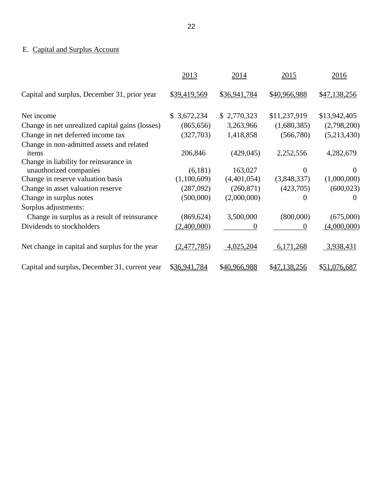# E. Capital and Surplus Account

|                                                    | 2013                        | 2014         | 2015         | 2016         |
|----------------------------------------------------|-----------------------------|--------------|--------------|--------------|
| Capital and surplus, December 31, prior year       | \$39,419,569                | \$36,941,784 | \$40,966,988 | \$47,138,256 |
| Net income                                         | 3,672,234<br>$\mathbb{S}^-$ | \$2,770,323  | \$11,237,919 | \$13,942,405 |
| Change in net unrealized capital gains (losses)    | (865, 656)                  | 3,263,966    | (1,680,385)  | (2,798,200)  |
| Change in net deferred income tax                  | (327,703)                   | 1,418,858    | (566,780)    | (5,213,430)  |
| Change in non-admitted assets and related<br>items | 206,846                     | (429, 045)   | 2,252,556    | 4,282,679    |
| Change in liability for reinsurance in             |                             |              |              |              |
| unauthorized companies                             | (6,181)                     | 163,027      | 0            | $\Omega$     |
| Change in reserve valuation basis                  | (1,100,609)                 | (4,401,054)  | (3,848,337)  | (1,000,000)  |
| Change in asset valuation reserve                  | (287,092)                   | (260, 871)   | (423,705)    | (600, 023)   |
| Change in surplus notes                            | (500,000)                   | (2,000,000)  | $\theta$     | $\Omega$     |
| Surplus adjustments:                               |                             |              |              |              |
| Change in surplus as a result of reinsurance       | (869, 624)                  | 3,500,000    | (800,000)    | (675,000)    |
| Dividends to stockholders                          | (2,400,000)                 | 0            | $\theta$     | (4,000,000)  |
| Net change in capital and surplus for the year     | (2,477,785)                 | 4,025,204    | 6,171,268    | 3,938,431    |
| Capital and surplus, December 31, current year     | \$36,941,784                | \$40,966,988 | \$47,138,256 | \$51,076,687 |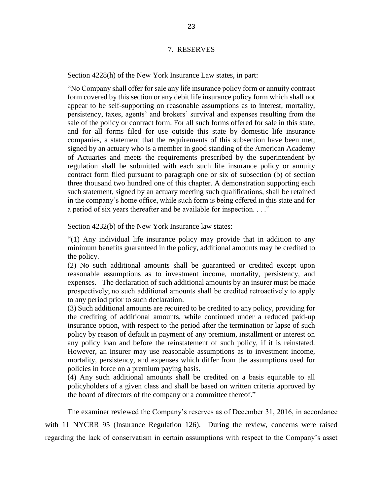#### 7. RESERVES

<span id="page-25-0"></span>Section 4228(h) of the New York Insurance Law states, in part:

 "No Company shall offer for sale any life insurance policy form or annuity contract form covered by this section or any debit life insurance policy form which shall not appear to be self-supporting on reasonable assumptions as to interest, mortality, sale of the policy or contract form. For all such forms offered for sale in this state, and for all forms filed for use outside this state by domestic life insurance companies, a statement that the requirements of this subsection have been met, signed by an actuary who is a member in good standing of the American Academy of Actuaries and meets the requirements prescribed by the superintendent by regulation shall be submitted with each such life insurance policy or annuity contract form filed pursuant to paragraph one or six of subsection (b) of section in the company's home office, while such form is being offered in this state and for persistency, taxes, agents' and brokers' survival and expenses resulting from the three thousand two hundred one of this chapter. A demonstration supporting each such statement, signed by an actuary meeting such qualifications, shall be retained a period of six years thereafter and be available for inspection. . . ."

Section 4232(b) of the New York Insurance law states:

 "(1) Any individual life insurance policy may provide that in addition to any minimum benefits guaranteed in the policy, additional amounts may be credited to the policy.

 (2) No such additional amounts shall be guaranteed or credited except upon expenses. The declaration of such additional amounts by an insurer must be made prospectively; no such additional amounts shall be credited retroactively to apply reasonable assumptions as to investment income, mortality, persistency, and to any period prior to such declaration.

 (3) Such additional amounts are required to be credited to any policy, providing for the crediting of additional amounts, while continued under a reduced paid-up policy by reason of default in payment of any premium, installment or interest on any policy loan and before the reinstatement of such policy, if it is reinstated. However, an insurer may use reasonable assumptions as to investment income, insurance option, with respect to the period after the termination or lapse of such mortality, persistency, and expenses which differ from the assumptions used for policies in force on a premium paying basis.

 (4) Any such additional amounts shall be credited on a basis equitable to all policyholders of a given class and shall be based on written criteria approved by the board of directors of the company or a committee thereof."

 The examiner reviewed the Company's reserves as of December 31, 2016, in accordance with 11 NYCRR 95 (Insurance Regulation 126). During the review, concerns were raised regarding the lack of conservatism in certain assumptions with respect to the Company's asset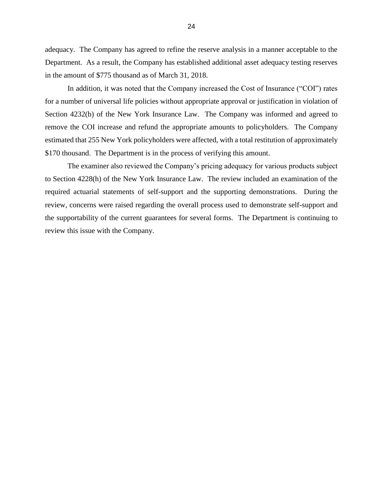adequacy. The Company has agreed to refine the reserve analysis in a manner acceptable to the Department. As a result, the Company has established additional asset adequacy testing reserves in the amount of \$775 thousand as of March 31, 2018.

 In addition, it was noted that the Company increased the Cost of Insurance ("COI") rates Section 4232(b) of the New York Insurance Law. The Company was informed and agreed to remove the COI increase and refund the appropriate amounts to policyholders. The Company for a number of universal life policies without appropriate approval or justification in violation of estimated that 255 New York policyholders were affected, with a total restitution of approximately \$170 thousand. The Department is in the process of verifying this amount.

 to Section 4228(h) of the New York Insurance Law. The review included an examination of the required actuarial statements of self-support and the supporting demonstrations. During the The examiner also reviewed the Company's pricing adequacy for various products subject review, concerns were raised regarding the overall process used to demonstrate self-support and the supportability of the current guarantees for several forms. The Department is continuing to review this issue with the Company.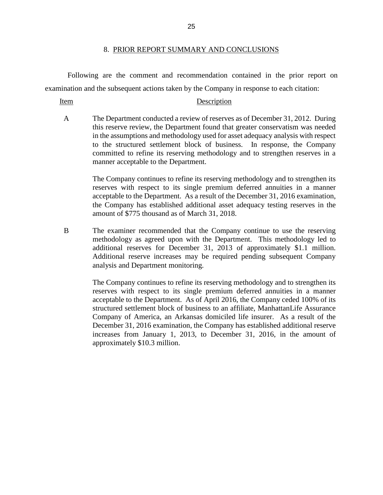#### 8. PRIOR REPORT SUMMARY AND CONCLUSIONS

<span id="page-27-0"></span>Following are the comment and recommendation contained in the prior report on examination and the subsequent actions taken by the Company in response to each citation:

#### Item Description

 A The Department conducted a review of reserves as of December 31, 2012. During in the assumptions and methodology used for asset adequacy analysis with respect this reserve review, the Department found that greater conservatism was needed to the structured settlement block of business. In response, the Company committed to refine its reserving methodology and to strengthen reserves in a manner acceptable to the Department.

> acceptable to the Department. As a result of the December 31, 2016 examination, the Company has established additional asset adequacy testing reserves in the The Company continues to refine its reserving methodology and to strengthen its reserves with respect to its single premium deferred annuities in a manner amount of \$775 thousand as of March 31, 2018.

 B The examiner recommended that the Company continue to use the reserving Additional reserve increases may be required pending subsequent Company methodology as agreed upon with the Department. This methodology led to additional reserves for December 31, 2013 of approximately \$1.1 million. analysis and Department monitoring.

> acceptable to the Department. As of April 2016, the Company ceded 100% of its structured settlement block of business to an affiliate, ManhattanLife Assurance Company of America, an Arkansas domiciled life insurer. As a result of the December 31, 2016 examination, the Company has established additional reserve increases from January 1, 2013, to December 31, 2016, in the amount of The Company continues to refine its reserving methodology and to strengthen its reserves with respect to its single premium deferred annuities in a manner approximately \$10.3 million.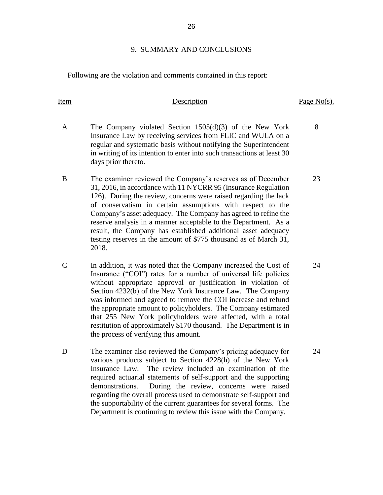#### 9. SUMMARY AND CONCLUSIONS

Following are the violation and comments contained in this report:

Item Description

# A The Company violated Section 1505(d)(3) of the New York Insurance Law by receiving services from FLIC and WULA on a regular and systematic basis without notifying the Superintendent in writing of its intention to enter into such transactions at least 30 days prior thereto.

- 31, 2016, in accordance with 11 NYCRR 95 (Insurance Regulation 126). During the review, concerns were raised regarding the lack Company's asset adequacy. The Company has agreed to refine the reserve analysis in a manner acceptable to the Department. As a testing reserves in the amount of \$775 thousand as of March 31, B The examiner reviewed the Company's reserves as of December of conservatism in certain assumptions with respect to the result, the Company has established additional asset adequacy 2018.
- Insurance ("COI") rates for a number of universal life policies Section 4232(b) of the New York Insurance Law. The Company was informed and agreed to remove the COI increase and refund that 255 New York policyholders were affected, with a total C In addition, it was noted that the Company increased the Cost of without appropriate approval or justification in violation of the appropriate amount to policyholders. The Company estimated restitution of approximately \$170 thousand. The Department is in the process of verifying this amount.
- D The examiner also reviewed the Company's pricing adequacy for Insurance Law. regarding the overall process used to demonstrate self-support and various products subject to Section 4228(h) of the New York The review included an examination of the required actuarial statements of self-support and the supporting demonstrations. During the review, concerns were raised the supportability of the current guarantees for several forms. The Department is continuing to review this issue with the Company.

Page No(s).

8

23

24

24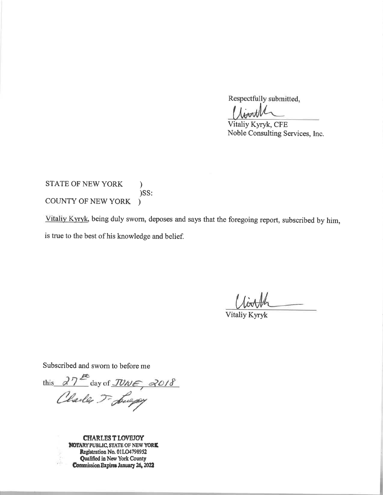Respectfully submitted,

Vitaliy Kyryk, CFE Noble Consulting Services, Inc.

**STATE OF NEW YORK**  $\lambda$ )SS: COUNTY OF NEW YORK  $\lambda$ 

Vitaliy Kyryk, being duly sworn, deposes and says that the foregoing report, subscribed by him, is true to the best of his knowledge and belief.

**Vitaliy Kyryk** 

Subscribed and sworn to before me

this 27th day of JUNE, 2018

**CHARLES T LOVEJOY NOTARY PUBLIC, STATE OF NEW YORK** Registration No. 01LO4798952 **Qualified in New York County Commission Expires January 26, 2022**